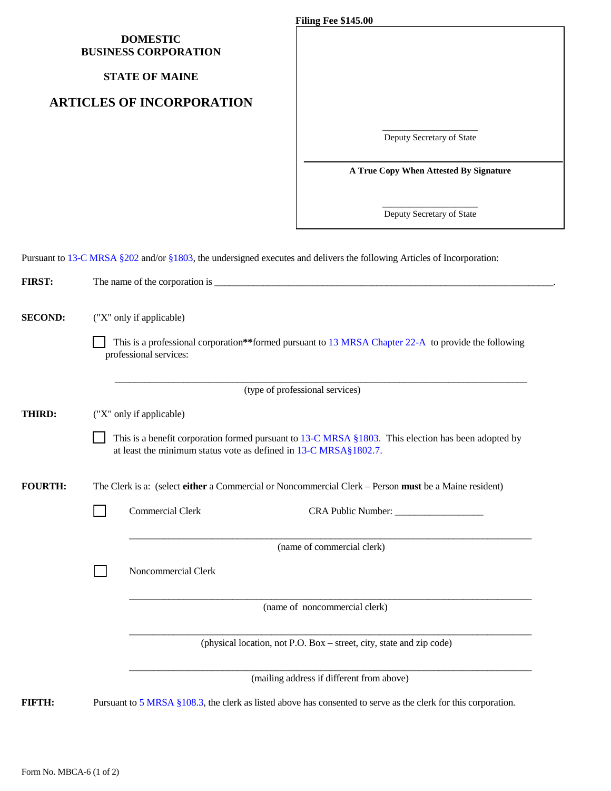## **DOMESTIC BUSINESS CORPORATION**

#### **STATE OF MAINE**

## **ARTICLES OF INCORPORATION**

**Filing Fee \$145.00**

\_\_\_\_\_\_\_\_\_\_\_\_\_\_\_\_\_\_\_\_\_ Deputy Secretary of State

**A True Copy When Attested By Signature**

**\_\_\_\_\_\_\_\_\_\_\_\_\_\_\_\_\_\_\_\_\_** Deputy Secretary of State

Pursuant to [13-C MRSA §202](http://www.mainelegislature.org/legis/statutes/13-C/title13-Csec202.html) and/or [§1803,](http://legislature.maine.gov/statutes/13-C/title13-Csec1803.html) the undersigned executes and delivers the following Articles of Incorporation:

| <b>FIRST:</b>  |                                                                                                                                                                                  |  |  |  |
|----------------|----------------------------------------------------------------------------------------------------------------------------------------------------------------------------------|--|--|--|
| <b>SECOND:</b> | ("X" only if applicable)<br>This is a professional corporation**formed pursuant to 13 MRSA Chapter 22-A to provide the following                                                 |  |  |  |
|                | professional services:                                                                                                                                                           |  |  |  |
|                | (type of professional services)                                                                                                                                                  |  |  |  |
| <b>THIRD:</b>  | ("X" only if applicable)                                                                                                                                                         |  |  |  |
|                | This is a benefit corporation formed pursuant to $13\text{-C MRSA}$ §1803. This election has been adopted by<br>at least the minimum status vote as defined in 13-C MRSA§1802.7. |  |  |  |
| <b>FOURTH:</b> | The Clerk is a: (select either a Commercial or Noncommercial Clerk – Person must be a Maine resident)                                                                            |  |  |  |
|                | <b>Commercial Clerk</b>                                                                                                                                                          |  |  |  |
|                | (name of commercial clerk)                                                                                                                                                       |  |  |  |
|                | Noncommercial Clerk                                                                                                                                                              |  |  |  |
|                | (name of noncommercial clerk)                                                                                                                                                    |  |  |  |
|                | (physical location, not P.O. Box - street, city, state and zip code)                                                                                                             |  |  |  |
|                | (mailing address if different from above)                                                                                                                                        |  |  |  |
| FIFTHE         | Pursuant to 5 MRSA §108.3, the clerk as listed above has consented to serve as the clerk for this corporation.                                                                   |  |  |  |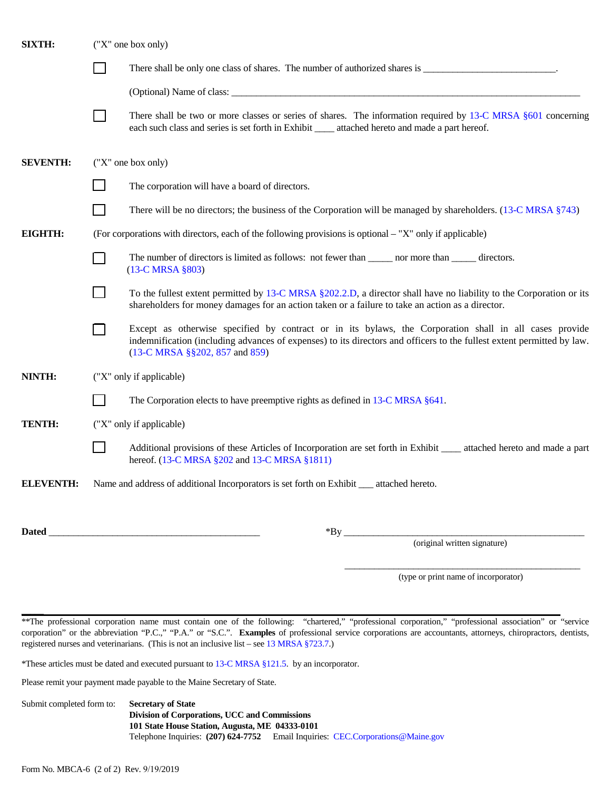| <b>SIXTH:</b>    | ("X" one box only)       |                                                                                                                                                                                                                                                                    |  |  |
|------------------|--------------------------|--------------------------------------------------------------------------------------------------------------------------------------------------------------------------------------------------------------------------------------------------------------------|--|--|
|                  |                          | There shall be only one class of shares. The number of authorized shares is _______________________________.                                                                                                                                                       |  |  |
|                  |                          |                                                                                                                                                                                                                                                                    |  |  |
|                  |                          | There shall be two or more classes or series of shares. The information required by 13-C MRSA §601 concerning<br>each such class and series is set forth in Exhibit _____ attached hereto and made a part hereof.                                                  |  |  |
| <b>SEVENTH:</b>  | ("X" one box only)       |                                                                                                                                                                                                                                                                    |  |  |
|                  |                          | The corporation will have a board of directors.                                                                                                                                                                                                                    |  |  |
|                  |                          | There will be no directors; the business of the Corporation will be managed by shareholders. (13-C MRSA §743)                                                                                                                                                      |  |  |
| EIGHTH:          |                          | (For corporations with directors, each of the following provisions is optional – "X" only if applicable)                                                                                                                                                           |  |  |
|                  |                          | The number of directors is limited as follows: not fewer than _______ nor more than _______ directors.<br>(13-C MRSA §803)                                                                                                                                         |  |  |
|                  |                          | To the fullest extent permitted by 13-C MRSA §202.2.D, a director shall have no liability to the Corporation or its<br>shareholders for money damages for an action taken or a failure to take an action as a director.                                            |  |  |
|                  |                          | Except as otherwise specified by contract or in its bylaws, the Corporation shall in all cases provide<br>indemnification (including advances of expenses) to its directors and officers to the fullest extent permitted by law.<br>(13-C MRSA §§202, 857 and 859) |  |  |
| NINTH:           | ("X" only if applicable) |                                                                                                                                                                                                                                                                    |  |  |
|                  |                          | The Corporation elects to have preemptive rights as defined in 13-C MRSA §641.                                                                                                                                                                                     |  |  |
| TENTH:           | ("X" only if applicable) |                                                                                                                                                                                                                                                                    |  |  |
|                  |                          | Additional provisions of these Articles of Incorporation are set forth in Exhibit ____ attached hereto and made a part<br>hereof. (13-C MRSA §202 and 13-C MRSA §1811)                                                                                             |  |  |
| <b>ELEVENTH:</b> |                          | Name and address of additional Incorporators is set forth on Exhibit __ attached hereto.                                                                                                                                                                           |  |  |
| Dated            |                          | $*By$ <sub>____</sub>                                                                                                                                                                                                                                              |  |  |
|                  |                          | (original written signature)                                                                                                                                                                                                                                       |  |  |

\_\_\_\_\_\_\_\_\_\_\_\_\_\_\_\_\_\_\_\_\_\_\_\_\_\_\_\_\_\_\_\_\_\_\_\_\_\_\_\_\_\_\_\_\_\_\_\_ (type or print name of incorporator)

\*\*The professional corporation name must contain one of the following: "chartered," "professional corporation," "professional association" or "service corporation" or the abbreviation "P.C.," "P.A." or "S.C.". **Examples** of professional service corporations are accountants, attorneys, chiropractors, dentists, registered nurses and veterinarians. (This is not an inclusive list – se[e 13 MRSA §723.7.\)](http://www.mainelegislature.org/legis/statutes/13/title13sec723.html)

\*These articles must be dated and executed pursuant t[o 13-C MRSA §121.5.](http://www.mainelegislature.org/legis/statutes/13-C/title13-Csec121.html) by an incorporator.

Please remit your payment made payable to the Maine Secretary of State.

Submit completed form to: **Secretary of State Division of Corporations, UCC and Commissions 101 State House Station, Augusta, ME 04333-0101** Telephone Inquiries: **(207) 624-7752** Email Inquiries: [CEC.Corporations@Maine.gov](mailto:CEC.Corporations@Maine.gov)

 $\overline{\phantom{a}}$